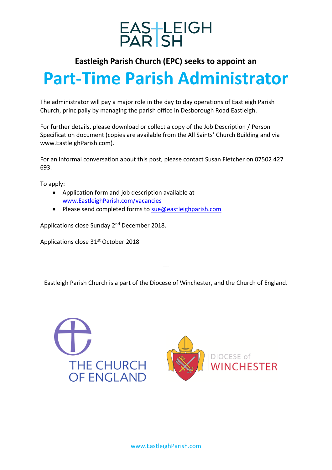

### **Eastleigh Parish Church (EPC) seeks to appoint an**

# **Part-Time Parish Administrator**

The administrator will pay a major role in the day to day operations of Eastleigh Parish Church, principally by managing the parish office in Desborough Road Eastleigh.

For further details, please download or collect a copy of the Job Description / Person Specification document (copies are available from the All Saints' Church Building and via www.EastleighParish.com).

For an informal conversation about this post, please contact Susan Fletcher on 07502 427 693.

To apply:

- Application form and job description available at [www.EastleighParish.com/vacancies](http://www.eastleighparish.com/vacancies)
- Please send completed forms to [sue@eastleighparish.com](mailto:sue@eastleighparish.com)

Applications close Sunday 2<sup>nd</sup> December 2018.

Applications close 31<sup>st</sup> October 2018

Eastleigh Parish Church is a part of the Diocese of Winchester, and the Church of England.

---

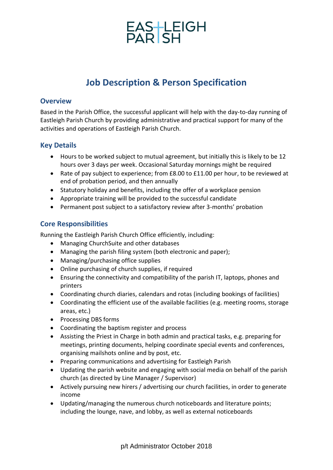# EAS-LEIGH<br>PAR SH

## **Job Description & Person Specification**

#### **Overview**

Based in the Parish Office, the successful applicant will help with the day-to-day running of Eastleigh Parish Church by providing administrative and practical support for many of the activities and operations of Eastleigh Parish Church.

#### **Key Details**

- Hours to be worked subject to mutual agreement, but initially this is likely to be 12 hours over 3 days per week. Occasional Saturday mornings might be required
- Rate of pay subject to experience; from £8.00 to £11.00 per hour, to be reviewed at end of probation period, and then annually
- Statutory holiday and benefits, including the offer of a workplace pension
- Appropriate training will be provided to the successful candidate
- Permanent post subject to a satisfactory review after 3-months' probation

#### **Core Responsibilities**

Running the Eastleigh Parish Church Office efficiently, including:

- Managing ChurchSuite and other databases
- Managing the parish filing system (both electronic and paper);
- Managing/purchasing office supplies
- Online purchasing of church supplies, if required
- Ensuring the connectivity and compatibility of the parish IT, laptops, phones and printers
- Coordinating church diaries, calendars and rotas (including bookings of facilities)
- Coordinating the efficient use of the available facilities (e.g. meeting rooms, storage areas, etc.)
- Processing DBS forms
- Coordinating the baptism register and process
- Assisting the Priest in Charge in both admin and practical tasks, e.g. preparing for meetings, printing documents, helping coordinate special events and conferences, organising mailshots online and by post, etc.
- Preparing communications and advertising for Eastleigh Parish
- Updating the parish website and engaging with social media on behalf of the parish church (as directed by Line Manager / Supervisor)
- Actively pursuing new hirers / advertising our church facilities, in order to generate income
- Updating/managing the numerous church noticeboards and literature points; including the lounge, nave, and lobby, as well as external noticeboards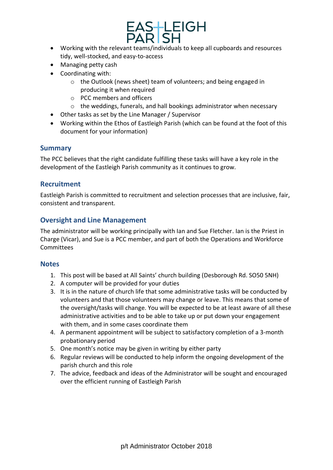

- Working with the relevant teams/individuals to keep all cupboards and resources tidy, well-stocked, and easy-to-access
- Managing petty cash
- Coordinating with:
	- o the Outlook (news sheet) team of volunteers; and being engaged in producing it when required
	- o PCC members and officers
	- o the weddings, funerals, and hall bookings administrator when necessary
- Other tasks as set by the Line Manager / Supervisor
- Working within the Ethos of Eastleigh Parish (which can be found at the foot of this document for your information)

#### **Summary**

The PCC believes that the right candidate fulfilling these tasks will have a key role in the development of the Eastleigh Parish community as it continues to grow.

#### **Recruitment**

Eastleigh Parish is committed to recruitment and selection processes that are inclusive, fair, consistent and transparent.

#### **Oversight and Line Management**

The administrator will be working principally with Ian and Sue Fletcher. Ian is the Priest in Charge (Vicar), and Sue is a PCC member, and part of both the Operations and Workforce **Committees** 

#### **Notes**

- 1. This post will be based at All Saints' church building (Desborough Rd. SO50 5NH)
- 2. A computer will be provided for your duties
- 3. It is in the nature of church life that some administrative tasks will be conducted by volunteers and that those volunteers may change or leave. This means that some of the oversight/tasks will change. You will be expected to be at least aware of all these administrative activities and to be able to take up or put down your engagement with them, and in some cases coordinate them
- 4. A permanent appointment will be subject to satisfactory completion of a 3-month probationary period
- 5. One month's notice may be given in writing by either party
- 6. Regular reviews will be conducted to help inform the ongoing development of the parish church and this role
- 7. The advice, feedback and ideas of the Administrator will be sought and encouraged over the efficient running of Eastleigh Parish